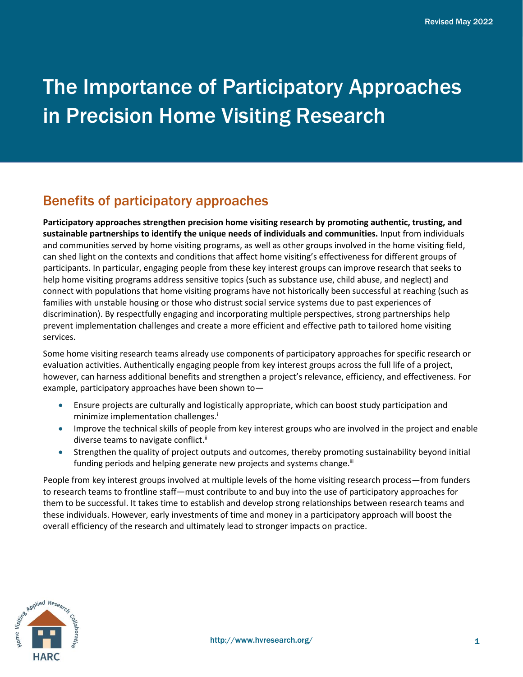# The Importance of Participatory Approaches in Precision Home Visiting Research

## Benefits of participatory approaches

**Participatory approaches strengthen precision home visiting research by promoting authentic, trusting, and sustainable partnerships to identify the unique needs of individuals and communities.** Input from individuals and communities served by home visiting programs, as well as other groups involved in the home visiting field, can shed light on the contexts and conditions that affect home visiting's effectiveness for different groups of participants. In particular, engaging people from these key interest groups can improve research that seeks to help home visiting programs address sensitive topics (such as substance use, child abuse, and neglect) and connect with populations that home visiting programs have not historically been successful at reaching (such as families with unstable housing or those who distrust social service systems due to past experiences of discrimination). By respectfully engaging and incorporating multiple perspectives, strong partnerships help prevent implementation challenges and create a more efficient and effective path to tailored home visiting services.

Some home visiting research teams already use components of participatory approaches for specific research or evaluation activities. Authentically engaging people from key interest groups across the full life of a project, however, can harness additional benefits and strengthen a project's relevance, efficiency, and effectiveness. For example, participatory approaches have been shown to—

- Ensure projects are culturally and logistically appropriate, which can boost study participation and minimize implementation challenges. i
- Improve the technical skills of people from key interest groups who are involved in the project and enable diverse teams to navigate conflict.<sup>ii</sup>
- Strengthen the quality of project outputs and outcomes, thereby promoting sustainability beyond initial funding periods and helping generate new projects and systems change.<sup>III</sup>

People from key interest groups involved at multiple levels of the home visiting research process—from funders to research teams to frontline staff—must contribute to and buy into the use of participatory approaches for them to be successful. It takes time to establish and develop strong relationships between research teams and these individuals. However, early investments of time and money in a participatory approach will boost the overall efficiency of the research and ultimately lead to stronger impacts on practice.

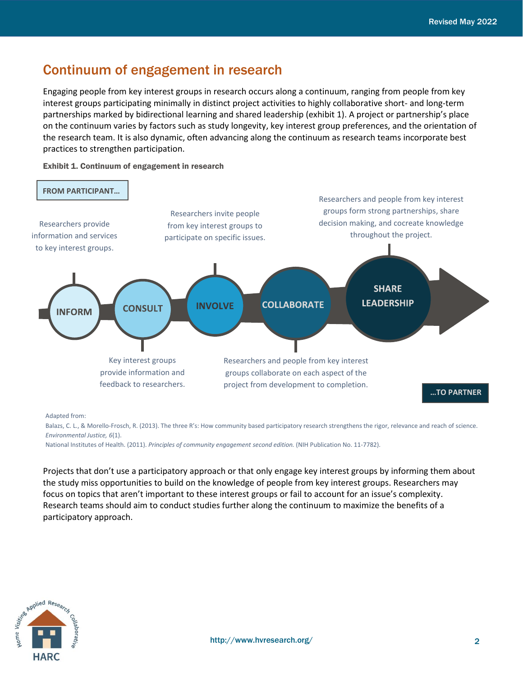## Continuum of engagement in research

Engaging people from key interest groups in research occurs along a continuum, ranging from people from key interest groups participating minimally in distinct project activities to highly collaborative short- and long-term partnerships marked by bidirectional learning and shared leadership (exhibit 1). A project or partnership's place on the continuum varies by factors such as study longevity, key interest group preferences, and the orientation of the research team. It is also dynamic, often advancing along the continuum as research teams incorporate best practices to strengthen participation.

Exhibit 1. Continuum of engagement in research

#### **FROM PARTICIPANT…**



Adapted from:

Balazs, C. L., & Morello-Frosch, R. (2013). The three R's: How community based participatory research strengthens the rigor, relevance and reach of science. *Environmental Justice, 6*(1).

National Institutes of Health. (2011). *Principles of community engagement second edition.* (NIH Publication No. 11-7782).

Projects that don't use a participatory approach or that only engage key interest groups by informing them about the study miss opportunities to build on the knowledge of people from key interest groups. Researchers may focus on topics that aren't important to these interest groups or fail to account for an issue's complexity. Research teams should aim to conduct studies further along the continuum to maximize the benefits of a participatory approach.

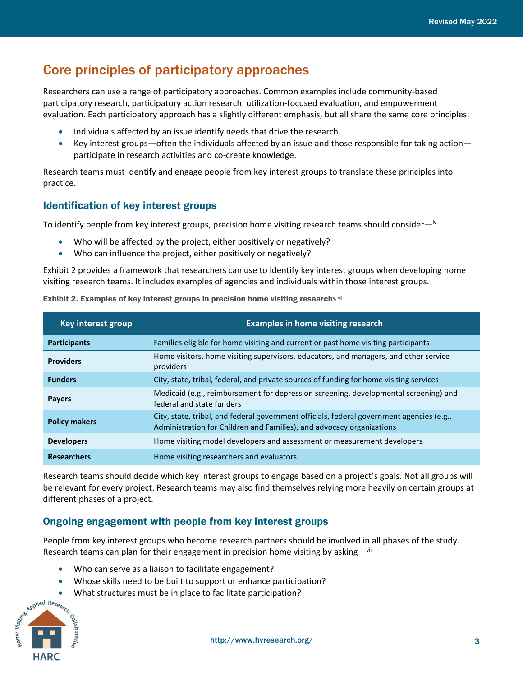## Core principles of participatory approaches

Researchers can use a range of participatory approaches. Common examples include community-based participatory research, participatory action research, utilization-focused evaluation, and empowerment evaluation. Each participatory approach has a slightly different emphasis, but all share the same core principles:

- Individuals affected by an issue identify needs that drive the research.
- Key interest groups—often the individuals affected by an issue and those responsible for taking action participate in research activities and co-create knowledge.

Research teams must identify and engage people from key interest groups to translate these principles into practice.

### Identification of key interest groups

To identify people from key interest groups, precision home visiting research teams should consider— $\dot{v}$ 

- Who will be affected by the project, either positively or negatively?
- Who can influence the project, either positively or negatively?

Exhibit 2 provides a framework that researchers can use to identify key interest groups when developing home visiting research teams. It includes examples of agencies and individuals within those interest groups.

| <b>Key interest group</b> | <b>Examples in home visiting research</b>                                                                                                                          |
|---------------------------|--------------------------------------------------------------------------------------------------------------------------------------------------------------------|
| <b>Participants</b>       | Families eligible for home visiting and current or past home visiting participants                                                                                 |
| <b>Providers</b>          | Home visitors, home visiting supervisors, educators, and managers, and other service<br>providers                                                                  |
| <b>Funders</b>            | City, state, tribal, federal, and private sources of funding for home visiting services                                                                            |
| <b>Payers</b>             | Medicaid (e.g., reimbursement for depression screening, developmental screening) and<br>federal and state funders                                                  |
| <b>Policy makers</b>      | City, state, tribal, and federal government officials, federal government agencies (e.g.,<br>Administration for Children and Families), and advocacy organizations |
| <b>Developers</b>         | Home visiting model developers and assessment or measurement developers                                                                                            |
| <b>Researchers</b>        | Home visiting researchers and evaluators                                                                                                                           |

Exhibit 2. Examples of key interest groups in precision home visiting research<sup>y, vi</sup>

Research teams should decide which key interest groups to engage based on a project's goals. Not all groups will be relevant for every project. Research teams may also find themselves relying more heavily on certain groups at different phases of a project.

### Ongoing engagement with people from key interest groups

People from key interest groups who become research partners should be involved in all phases of the study. Research teams can plan for their engagement in precision home visiting by asking— $v_{\text{lin}}$ 

- Who can serve as a liaison to facilitate engagement?
- Whose skills need to be built to support or enhance participation?
- What structures must be in place to facilitate participation?

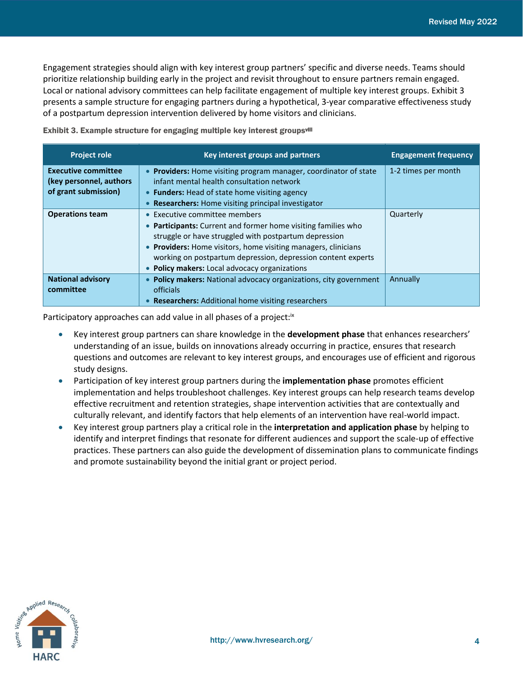Engagement strategies should align with key interest group partners' specific and diverse needs. Teams should prioritize relationship building early in the project and revisit throughout to ensure partners remain engaged. Local or national advisory committees can help facilitate engagement of multiple key interest groups. Exhibit 3 presents a sample structure for engaging partners during a hypothetical, 3-year comparative effectiveness study of a postpartum depression intervention delivered by home visitors and clinicians.

| <b>Project role</b>                                                           | Key interest groups and partners                                                                                                                                                                                                                                                                                                           | <b>Engagement frequency</b> |
|-------------------------------------------------------------------------------|--------------------------------------------------------------------------------------------------------------------------------------------------------------------------------------------------------------------------------------------------------------------------------------------------------------------------------------------|-----------------------------|
| <b>Executive committee</b><br>(key personnel, authors<br>of grant submission) | • Providers: Home visiting program manager, coordinator of state<br>infant mental health consultation network<br>• Funders: Head of state home visiting agency<br>• Researchers: Home visiting principal investigator                                                                                                                      | 1-2 times per month         |
| <b>Operations team</b>                                                        | • Executive committee members<br>• Participants: Current and former home visiting families who<br>struggle or have struggled with postpartum depression<br>• Providers: Home visitors, home visiting managers, clinicians<br>working on postpartum depression, depression content experts<br>• Policy makers: Local advocacy organizations | Quarterly                   |
| <b>National advisory</b><br>committee                                         | • Policy makers: National advocacy organizations, city government<br>officials<br>• Researchers: Additional home visiting researchers                                                                                                                                                                                                      | Annually                    |

Exhibit 3. Example structure for engaging multiple key interest groups<sup>vill</sup>

Participatory approaches can add value in all phases of a project:<sup>ix</sup>

- Key interest group partners can share knowledge in the **development phase** that enhances researchers' understanding of an issue, builds on innovations already occurring in practice, ensures that research questions and outcomes are relevant to key interest groups, and encourages use of efficient and rigorous study designs.
- Participation of key interest group partners during the **implementation phase** promotes efficient implementation and helps troubleshoot challenges. Key interest groups can help research teams develop effective recruitment and retention strategies, shape intervention activities that are contextually and culturally relevant, and identify factors that help elements of an intervention have real-world impact.
- Key interest group partners play a critical role in the **interpretation and application phase** by helping to identify and interpret findings that resonate for different audiences and support the scale-up of effective practices. These partners can also guide the development of dissemination plans to communicate findings and promote sustainability beyond the initial grant or project period.

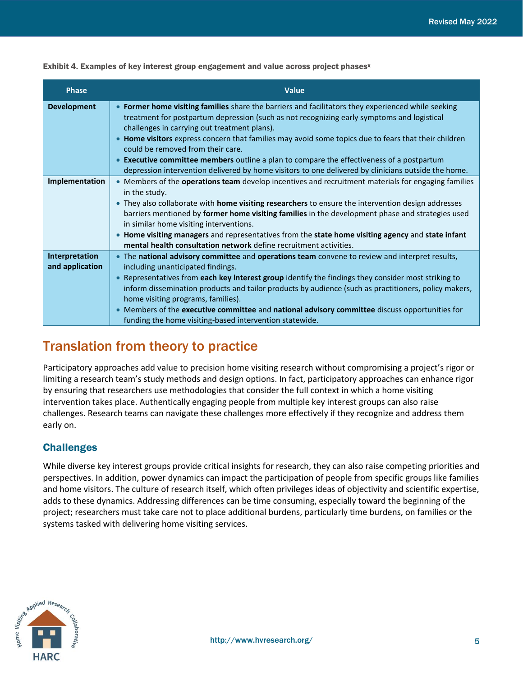|  |  | Exhibit 4. Examples of key interest group engagement and value across project phases <sup>x</sup> |  |  |
|--|--|---------------------------------------------------------------------------------------------------|--|--|
|  |  |                                                                                                   |  |  |

| <b>Phase</b>                      | <b>Value</b>                                                                                                                                                                                                                                                                                                                                                                                                                                                                                                                                                                                    |
|-----------------------------------|-------------------------------------------------------------------------------------------------------------------------------------------------------------------------------------------------------------------------------------------------------------------------------------------------------------------------------------------------------------------------------------------------------------------------------------------------------------------------------------------------------------------------------------------------------------------------------------------------|
| <b>Development</b>                | • Former home visiting families share the barriers and facilitators they experienced while seeking<br>treatment for postpartum depression (such as not recognizing early symptoms and logistical<br>challenges in carrying out treatment plans).<br>Home visitors express concern that families may avoid some topics due to fears that their children<br>could be removed from their care.<br>• Executive committee members outline a plan to compare the effectiveness of a postpartum<br>depression intervention delivered by home visitors to one delivered by clinicians outside the home. |
| Implementation                    | • Members of the operations team develop incentives and recruitment materials for engaging families<br>in the study.<br>• They also collaborate with home visiting researchers to ensure the intervention design addresses<br>barriers mentioned by former home visiting families in the development phase and strategies used<br>in similar home visiting interventions.<br>• Home visiting managers and representatives from the state home visiting agency and state infant<br>mental health consultation network define recruitment activities.                                             |
| Interpretation<br>and application | . The national advisory committee and operations team convene to review and interpret results,<br>including unanticipated findings.<br>Representatives from each key interest group identify the findings they consider most striking to<br>inform dissemination products and tailor products by audience (such as practitioners, policy makers,<br>home visiting programs, families).<br>• Members of the executive committee and national advisory committee discuss opportunities for<br>funding the home visiting-based intervention statewide.                                             |

## Translation from theory to practice

Participatory approaches add value to precision home visiting research without compromising a project's rigor or limiting a research team's study methods and design options. In fact, participatory approaches can enhance rigor by ensuring that researchers use methodologies that consider the full context in which a home visiting intervention takes place. Authentically engaging people from multiple key interest groups can also raise challenges. Research teams can navigate these challenges more effectively if they recognize and address them early on.

### **Challenges**

While diverse key interest groups provide critical insights for research, they can also raise competing priorities and perspectives. In addition, power dynamics can impact the participation of people from specific groups like families and home visitors. The culture of research itself, which often privileges ideas of objectivity and scientific expertise, adds to these dynamics. Addressing differences can be time consuming, especially toward the beginning of the project; researchers must take care not to place additional burdens, particularly time burdens, on families or the systems tasked with delivering home visiting services.

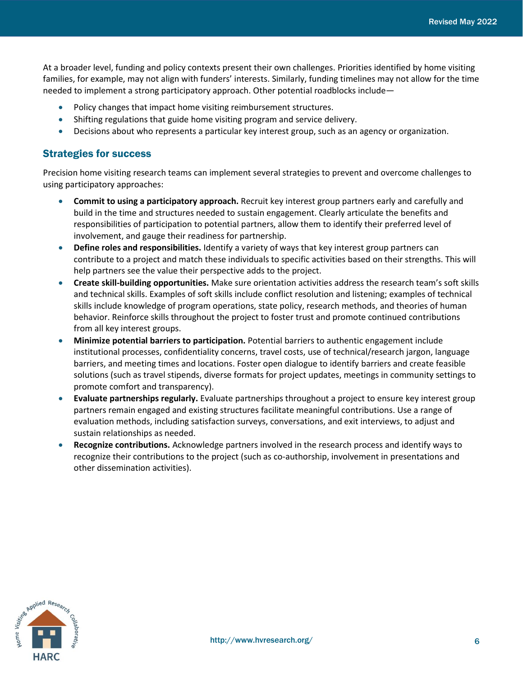At a broader level, funding and policy contexts present their own challenges. Priorities identified by home visiting families, for example, may not align with funders' interests. Similarly, funding timelines may not allow for the time needed to implement a strong participatory approach. Other potential roadblocks include—

- Policy changes that impact home visiting reimbursement structures.
- Shifting regulations that guide home visiting program and service delivery.
- Decisions about who represents a particular key interest group, such as an agency or organization.

#### Strategies for success

Precision home visiting research teams can implement several strategies to prevent and overcome challenges to using participatory approaches:

- **Commit to using a participatory approach.** Recruit key interest group partners early and carefully and build in the time and structures needed to sustain engagement. Clearly articulate the benefits and responsibilities of participation to potential partners, allow them to identify their preferred level of involvement, and gauge their readiness for partnership.
- **Define roles and responsibilities.** Identify a variety of ways that key interest group partners can contribute to a project and match these individuals to specific activities based on their strengths. This will help partners see the value their perspective adds to the project.
- **Create skill-building opportunities.** Make sure orientation activities address the research team's soft skills and technical skills. Examples of soft skills include conflict resolution and listening; examples of technical skills include knowledge of program operations, state policy, research methods, and theories of human behavior. Reinforce skills throughout the project to foster trust and promote continued contributions from all key interest groups.
- **Minimize potential barriers to participation.** Potential barriers to authentic engagement include institutional processes, confidentiality concerns, travel costs, use of technical/research jargon, language barriers, and meeting times and locations. Foster open dialogue to identify barriers and create feasible solutions (such as travel stipends, diverse formats for project updates, meetings in community settings to promote comfort and transparency).
- **Evaluate partnerships regularly.** Evaluate partnerships throughout a project to ensure key interest group partners remain engaged and existing structures facilitate meaningful contributions. Use a range of evaluation methods, including satisfaction surveys, conversations, and exit interviews, to adjust and sustain relationships as needed.
- **Recognize contributions.** Acknowledge partners involved in the research process and identify ways to recognize their contributions to the project (such as co-authorship, involvement in presentations and other dissemination activities).

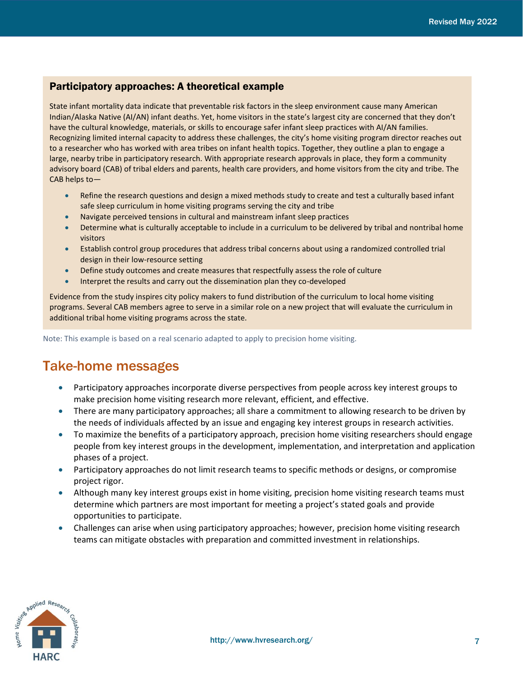#### Participatory approaches: A theoretical example

State infant mortality data indicate that preventable risk factors in the sleep environment cause many American Indian/Alaska Native (AI/AN) infant deaths. Yet, home visitors in the state's largest city are concerned that they don't have the cultural knowledge, materials, or skills to encourage safer infant sleep practices with AI/AN families. Recognizing limited internal capacity to address these challenges, the city's home visiting program director reaches out to a researcher who has worked with area tribes on infant health topics. Together, they outline a plan to engage a large, nearby tribe in participatory research. With appropriate research approvals in place, they form a community advisory board (CAB) of tribal elders and parents, health care providers, and home visitors from the city and tribe. The CAB helps to—

- Refine the research questions and design a mixed methods study to create and test a culturally based infant safe sleep curriculum in home visiting programs serving the city and tribe
- Navigate perceived tensions in cultural and mainstream infant sleep practices
- Determine what is culturally acceptable to include in a curriculum to be delivered by tribal and nontribal home visitors
- Establish control group procedures that address tribal concerns about using a randomized controlled trial design in their low-resource setting
- Define study outcomes and create measures that respectfully assess the role of culture
- Interpret the results and carry out the dissemination plan they co-developed

Evidence from the study inspires city policy makers to fund distribution of the curriculum to local home visiting programs. Several CAB members agree to serve in a similar role on a new project that will evaluate the curriculum in additional tribal home visiting programs across the state.

Note: This example is based on a real scenario adapted to apply to precision home visiting.

## Take-home messages

- Participatory approaches incorporate diverse perspectives from people across key interest groups to make precision home visiting research more relevant, efficient, and effective.
- There are many participatory approaches; all share a commitment to allowing research to be driven by the needs of individuals affected by an issue and engaging key interest groups in research activities.
- To maximize the benefits of a participatory approach, precision home visiting researchers should engage people from key interest groups in the development, implementation, and interpretation and application phases of a project.
- Participatory approaches do not limit research teams to specific methods or designs, or compromise project rigor.
- Although many key interest groups exist in home visiting, precision home visiting research teams must determine which partners are most important for meeting a project's stated goals and provide opportunities to participate.
- Challenges can arise when using participatory approaches; however, precision home visiting research teams can mitigate obstacles with preparation and committed investment in relationships.